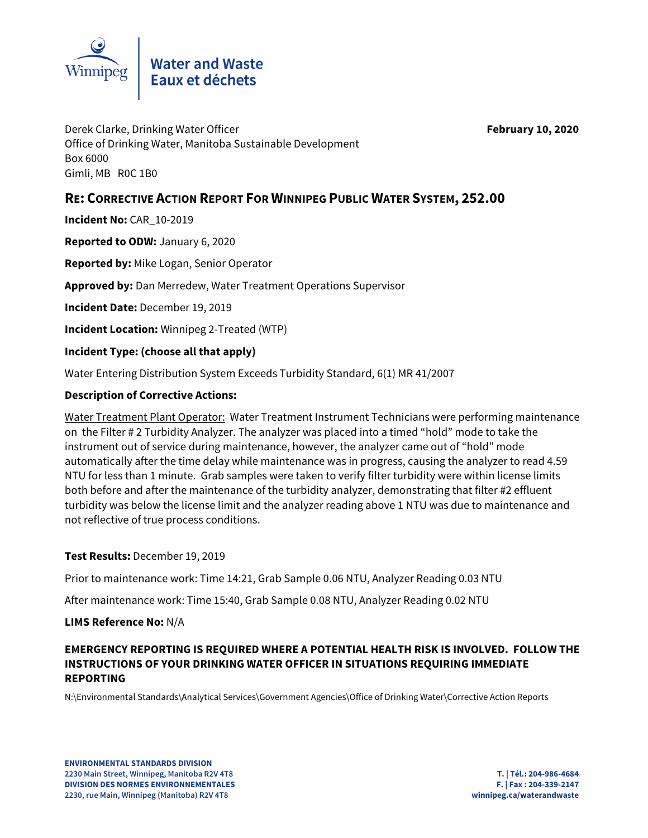

Derek Clarke, Drinking Water Officer **February 10, 2020** Office of Drinking Water, Manitoba Sustainable Development Box 6000 Gimli, MB R0C 1B0

## **RE: CORRECTIVE ACTION REPORT FOR WINNIPEG PUBLIC WATER SYSTEM, 252.00**

**Incident No:** CAR\_10-2019

**Reported to ODW:** January 6, 2020

**Reported by:** Mike Logan, Senior Operator

**Approved by:** Dan Merredew, Water Treatment Operations Supervisor

**Incident Date:** December 19, 2019

**Incident Location:** Winnipeg 2-Treated (WTP)

**Incident Type: (choose all that apply)** 

Water Entering Distribution System Exceeds Turbidity Standard, 6(1) MR 41/2007

#### **Description of Corrective Actions:**

Water Treatment Plant Operator: Water Treatment Instrument Technicians were performing maintenance on the Filter # 2 Turbidity Analyzer. The analyzer was placed into a timed "hold" mode to take the instrument out of service during maintenance, however, the analyzer came out of "hold" mode automatically after the time delay while maintenance was in progress, causing the analyzer to read 4.59 NTU for less than 1 minute. Grab samples were taken to verify filter turbidity were within license limits both before and after the maintenance of the turbidity analyzer, demonstrating that filter #2 effluent turbidity was below the license limit and the analyzer reading above 1 NTU was due to maintenance and not reflective of true process conditions.

#### **Test Results:** December 19, 2019

Prior to maintenance work: Time 14:21, Grab Sample 0.06 NTU, Analyzer Reading 0.03 NTU

After maintenance work: Time 15:40, Grab Sample 0.08 NTU, Analyzer Reading 0.02 NTU

#### **LIMS Reference No:** N/A

### **EMERGENCY REPORTING IS REQUIRED WHERE A POTENTIAL HEALTH RISK IS INVOLVED. FOLLOW THE INSTRUCTIONS OF YOUR DRINKING WATER OFFICER IN SITUATIONS REQUIRING IMMEDIATE REPORTING**

N:\Environmental Standards\Analytical Services\Government Agencies\Office of Drinking Water\Corrective Action Reports